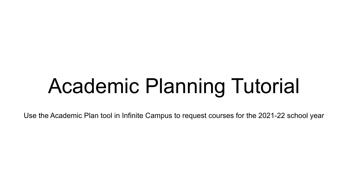# Academic Planning Tutorial

Use the Academic Plan tool in Infinite Campus to request courses for the 2021-22 school year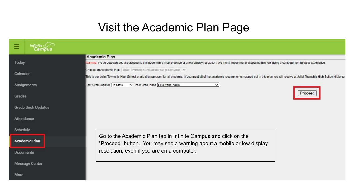### Visit the Academic Plan Page

|          | Infinite Com              |                                                                                                                                                                                                           |  |  |  |
|----------|---------------------------|-----------------------------------------------------------------------------------------------------------------------------------------------------------------------------------------------------------|--|--|--|
|          |                           | <b>Academic Plan</b>                                                                                                                                                                                      |  |  |  |
| Today    |                           | Warning: We've detected you are accessing this page with a mobile device or a low display resolution. We highly recommend accessing this tool using a computer for the best experience.                   |  |  |  |
| Calendar |                           | Choose an Academic Plan: Joliet Township Graduation Plan (Graduation) v                                                                                                                                   |  |  |  |
|          |                           | This is our Joliet Township High School graduation program for all students. If you meet all of the academic requirements mapped out in this plan you will receive at Joliet Township High School diploma |  |  |  |
|          | Assignments               | V Post Grad Plans Four Year Public<br>Post Grad Location In-State<br>v                                                                                                                                    |  |  |  |
| Grades   |                           | Proceed                                                                                                                                                                                                   |  |  |  |
|          |                           |                                                                                                                                                                                                           |  |  |  |
|          | <b>Grade Book Updates</b> |                                                                                                                                                                                                           |  |  |  |
|          | Attendance                |                                                                                                                                                                                                           |  |  |  |
| Schedule |                           |                                                                                                                                                                                                           |  |  |  |
|          |                           | Go to the Academic Plan tab in Infinite Campus and click on the                                                                                                                                           |  |  |  |
|          | Academic Plan             | "Proceed" button. You may see a warning about a mobile or low display                                                                                                                                     |  |  |  |
|          | <b>Documents</b>          | resolution, even if you are on a computer.                                                                                                                                                                |  |  |  |
|          | <b>Message Center</b>     |                                                                                                                                                                                                           |  |  |  |
|          |                           |                                                                                                                                                                                                           |  |  |  |
| More     |                           |                                                                                                                                                                                                           |  |  |  |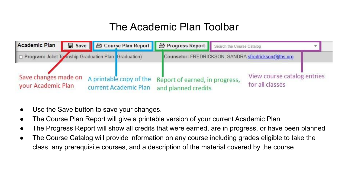### The Academic Plan Toolbar



- Use the Save button to save your changes.
- The Course Plan Report will give a printable version of your current Academic Plan
- The Progress Report will show all credits that were earned, are in progress, or have been planned
- The Course Catalog will provide information on any course including grades eligible to take the class, any prerequisite courses, and a description of the material covered by the course.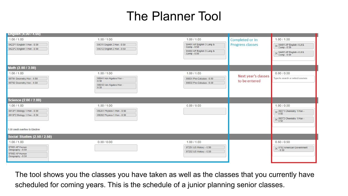### The Planner Tool

| <b>English (4.00 / 4.00)</b>        |                                 |                                          |                     |                                           |
|-------------------------------------|---------------------------------|------------------------------------------|---------------------|-------------------------------------------|
| 1.00 / 1.00                         | 1.00 / 1.00                     | 1.00 / 1.00                              | Completed or In     | 1.00 / 1.00                               |
| 0422F1 English 1 Hon - 0.50         | 04311 English 2 Hon - 0.50      | 04401 AP English 3 Lang &<br>Comp - 0.50 | Progress classes    | → 04491 AP English 4 Lit &<br>Comp - 0.50 |
| 0422F2 English 1 Hon - 0.50         | 04312 English 2 Hon - 0.50      |                                          |                     |                                           |
|                                     |                                 | 04402 AP English 3 Lang &<br>Comp - 0.50 |                     | 04492 AP English 4 Lit &<br>Comp - 0.50   |
|                                     |                                 |                                          |                     |                                           |
|                                     |                                 |                                          |                     |                                           |
| Math (3.00 / 3.00)                  |                                 |                                          |                     |                                           |
| 1.00 / 1.00                         | 1.00 / 1.00                     | 1.00 / 1.00                              | Next year's classes | 0.00 / 0.00                               |
| 08791 Geometry Hon - 0.50           | 08641 Adv Algebra Hon -<br>0.50 | 08831 Pre-Calculus - 0.50                | to be entered       | Type to search or select courses          |
| 08792 Geometry Hon - 0.50           | 08642 Adv Algebra Hon -         | 08832 Pre-Calculus - 0.50                |                     |                                           |
|                                     | 0.50                            |                                          |                     |                                           |
|                                     |                                 |                                          |                     |                                           |
| Science (2.00 / 2.00)               |                                 |                                          |                     |                                           |
| 1.00 / 1.00                         | 1.00 / 1.00                     | 0.00 / 0.00                              |                     | 1.00 / 0.00                               |
| 0913F1 Biology 1 Hon - 0.50         | 09281 Physics 1 Hon - 0.50      |                                          |                     | $\times$ 09371 Chemistry 1 Hon -          |
| 0913F2 Biology 1 Hon - 0.50         | 09282 Physics 1 Hon - 0.50      |                                          |                     |                                           |
|                                     |                                 |                                          |                     | 09372 Chemistry 1 Hon -<br>0.50           |
|                                     |                                 |                                          |                     |                                           |
| 1.00 credit overflow to Elective    |                                 |                                          |                     |                                           |
| <b>Social Studies (2.50 / 2.50)</b> |                                 |                                          |                     |                                           |
| 1.00 / 1.00                         | 0.00 / 0.00                     | 1.00 / 1.00                              |                     | 0.50 / 0.50                               |
| 07081 AP Human<br>Geography - 0.50  |                                 | 07251 US History - 0.50                  |                     | 0752 American Government                  |
| 07082 AP Human                      |                                 | 07252 US History - 0.50                  |                     | $-0.50$                                   |
| Geography - 0.50                    |                                 |                                          |                     |                                           |
|                                     |                                 |                                          |                     |                                           |

The tool shows you the classes you have taken as well as the classes that you currently have scheduled for coming years. This is the schedule of a junior planning senior classes.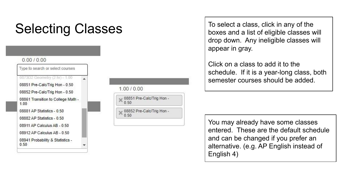# Selecting Classes<br>
To select a class, click in any of the<br>
boxes and a list of eligible classes w

#### $0.00 / 0.00$

Type to search or select courses 0873D2 Geometry (2 hr) - 1.00 08851 Pre-Calc/Trig Hon - 0.50 08852 Pre-Calc/Trig Hon - 0.50 08861 Transition to College Math -1.00 08881 AP Statistics - 0.50 08882 AP Statistics - 0.50 08911 AP Calculus AB - 0.50 08912 AP Calculus AB - 0.50 08941 Probability & Statistics - $0.50$ 



boxes and a list of eligible classes will drop down. Any ineligible classes will appear in gray.

Click on a class to add it to the schedule. If it is a year-long class, both semester courses should be added.

You may already have some classes entered. These are the default schedule and can be changed if you prefer an alternative. (e.g. AP English instead of English 4)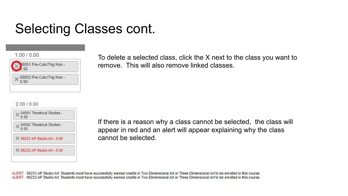# Selecting Classes cont.

#### 1 00 / 0 00



#### 200/000

| 0.50 | 04591 Theatrical Studies -   |
|------|------------------------------|
| 0.50 | 04592 Theatrical Studies -   |
|      | C 06231 AP Studio Art - 0.50 |
|      | 06232 AP Studio Art - 0.50   |

To delete a selected class, click the X next to the class you want to remove. This will also remove linked classes.

If there is a reason why a class cannot be selected, the class will appear in red and an alert will appear explaining why the class cannot be selected.

ALERT: 06231 AP Studio Art: Students must have successfully earned credits in Two Dimensional Art or Three Dimensional Art to be enrolled in this course. ALERT: 06232 AP Studio Art: Students must have successfully earned credits in Two Dimensional Art or Three Dimensional Art to be enrolled in this course.